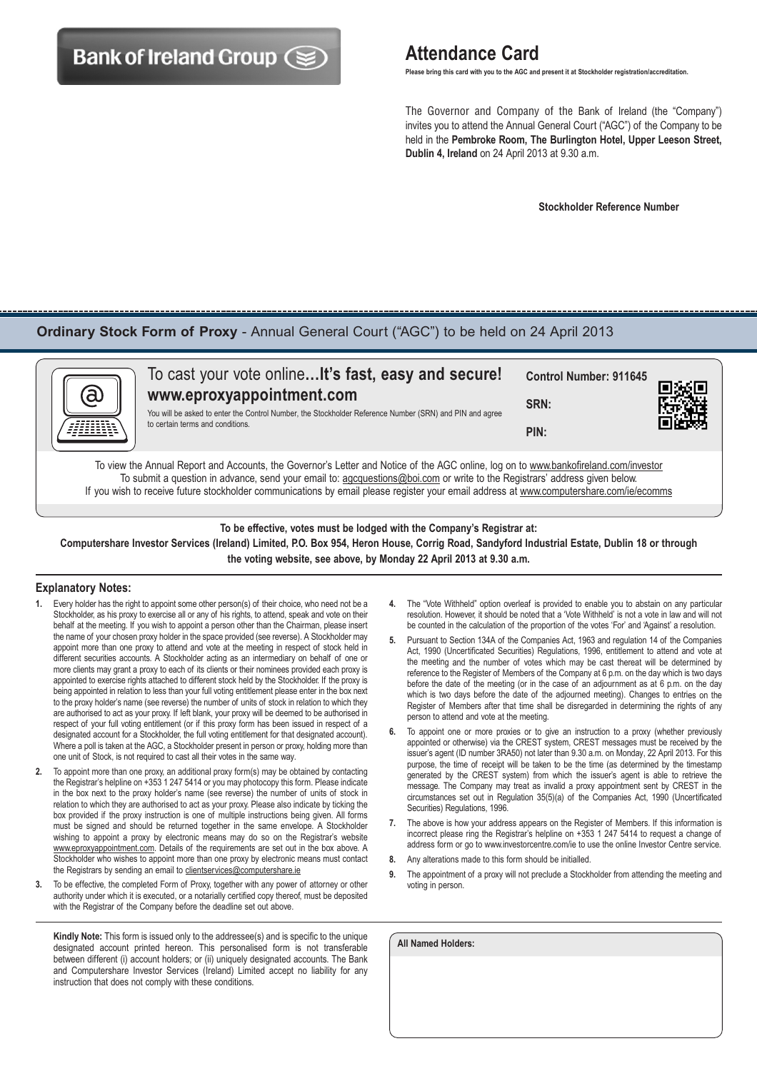# **Bank of Ireland Group (SE)** Attendance Card

 **Please bring this card with you to the AGC and present it at Stockholder registration/accreditation.**

 The Governor and Company of the Bank of Ireland (the "Company") invites you to attend the Annual General Court ("AGC") of the Company to be held in the **Pembroke Room, The Burlington Hotel, Upper Leeson Street, Dublin 4, Ireland** on 24 April 2013 at 9.30 a.m.

 **Stockholder Reference Number**

## **Ordinary Stock Form of Proxy** - Annual General Court ("AGC") to be held on 24 April 2013



| K | To cast your vote online It's fast, easy and secure!<br>www.eproxyappointment.com<br>You will be asked to enter the Control Number, the Stockholder Reference Number (SRN) and PIN and agree<br>to certain terms and conditions. | <b>Control Number: 911645</b><br>SRN:<br>PIN: | ■滚回<br>「電磁 |
|---|----------------------------------------------------------------------------------------------------------------------------------------------------------------------------------------------------------------------------------|-----------------------------------------------|------------|
|   |                                                                                                                                                                                                                                  |                                               |            |

To view the Annual Report and Accounts, the Governor's Letter and Notice of the AGC online, log on to www.bankofireland.com/investor To submit a question in advance, send your email to: agcquestions@boi.com or write to the Registrars' address given below. If you wish to receive future stockholder communications by email please register your email address at www.computershare.com/ie/ecomms

**To be effective, votes must be lodged with the Company's Registrar at: Computershare Investor Services (Ireland) Limited, P.O. Box 954, Heron House, Corrig Road, Sandyford Industrial Estate, Dublin 18 or through the voting website, see above, by Monday 22 April 2013 at 9.30 a.m.**

#### **Explanatory Notes:**

- **1.** Every holder has the right to appoint some other person(s) of their choice, who need not be a Stockholder, as his proxy to exercise all or any of his rights, to attend, speak and vote on their behalf at the meeting. If you wish to appoint a person other than the Chairman, please insert the name of your chosen proxy holder in the space provided (see reverse). A Stockholder may appoint more than one proxy to attend and vote at the meeting in respect of stock held in different securities accounts. A Stockholder acting as an intermediary on behalf of one or more clients may grant a proxy to each of its clients or their nominees provided each proxy is appointed to exercise rights attached to different stock held by the Stockholder. If the proxy is being appointed in relation to less than your full voting entitlement please enter in the box next to the proxy holder's name (see reverse) the number of units of stock in relation to which they are authorised to act as your proxy. If left blank, your proxy will be deemed to be authorised in respect of your full voting entitlement (or if this proxy form has been issued in respect of a designated account for a Stockholder, the full voting entitlement for that designated account). Where a poll is taken at the AGC, a Stockholder present in person or proxy, holding more than one unit of Stock, is not required to cast all their votes in the same way.
- **2.** To appoint more than one proxy, an additional proxy form(s) may be obtained by contacting the Registrar's helpline on +353 1 247 5414 or you may photocopy this form. Please indicate in the box next to the proxy holder's name (see reverse) the number of units of stock in relation to which they are authorised to act as your proxy. Please also indicate by ticking the box provided if the proxy instruction is one of multiple instructions being given. All forms must be signed and should be returned together in the same envelope. A Stockholder wishing to appoint a proxy by electronic means may do so on the Registrar's website www.eproxyappointment.com. Details of the requirements are set out in the box above. A Stockholder who wishes to appoint more than one proxy by electronic means must contact the Registrars by sending an email to clientservices@computershare.ie
- **3.** To be effective, the completed Form of Proxy, together with any power of attorney or other authority under which it is executed, or a notarially certified copy thereof, must be deposited with the Registrar of the Company before the deadline set out above.

**Kindly Note:** This form is issued only to the addressee(s) and is specific to the unique designated account printed hereon. This personalised form is not transferable between different (i) account holders; or (ii) uniquely designated accounts. The Bank and Computershare Investor Services (Ireland) Limited accept no liability for any instruction that does not comply with these conditions.

- **4.** The "Vote Withheld" option overleaf is provided to enable you to abstain on any particular resolution. However, it should be noted that a 'Vote Withheld' is not a vote in law and will not be counted in the calculation of the proportion of the votes 'For' and 'Against' a resolution.
- **5.** Pursuant to Section 134A of the Companies Act, 1963 and regulation 14 of the Companies Act, 1990 (Uncertificated Securities) Regulations, 1996, entitlement to attend and vote at the meeting and the number of votes which may be cast thereat will be determined by reference to the Register of Members of the Company at 6 p.m. on the day which is two days before the date of the meeting (or in the case of an adjournment as at 6 p.m. on the day which is two days before the date of the adjourned meeting). Changes to entries on the Register of Members after that time shall be disregarded in determining the rights of any person to attend and vote at the meeting.
- **6.** To appoint one or more proxies or to give an instruction to a proxy (whether previously appointed or otherwise) via the CREST system, CREST messages must be received by the issuer's agent (ID number 3RA50) not later than 9.30 a.m. on Monday, 22 April 2013. For this purpose, the time of receipt will be taken to be the time (as determined by the timestamp generated by the CREST system) from which the issuer's agent is able to retrieve the message. The Company may treat as invalid a proxy appointment sent by CREST in the circumstances set out in Regulation 35(5)(a) of the Companies Act, 1990 (Uncertificated Securities) Regulations, 1996.
- **7.** The above is how your address appears on the Register of Members. If this information is incorrect please ring the Registrar's helpline on +353 1 247 5414 to request a change of address form or go to www.investorcentre.com/ie to use the online Investor Centre service.
- **8.** Any alterations made to this form should be initialled.
- **9.** The appointment of a proxy will not preclude a Stockholder from attending the meeting and voting in person.

**All Named Holders:**